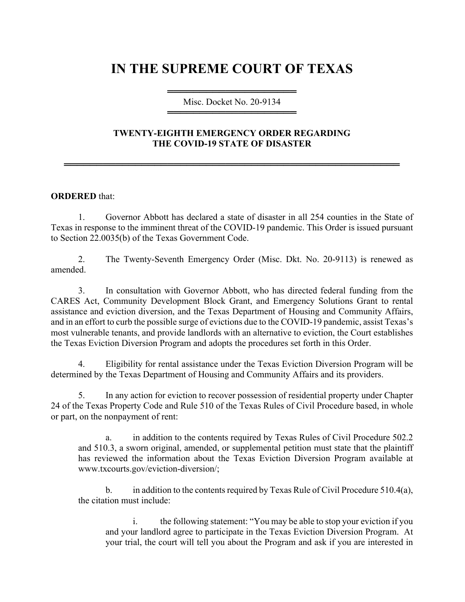## **IN THE SUPREME COURT OF TEXAS**

## ════════════════════ Misc. Docket No. 20-9134 ════════════════════

## **TWENTY-EIGHTH EMERGENCY ORDER REGARDING THE COVID-19 STATE OF DISASTER**

════════════════════════════════════════════════════

## **ORDERED** that:

1. Governor Abbott has declared a state of disaster in all 254 counties in the State of Texas in response to the imminent threat of the COVID-19 pandemic. This Order is issued pursuant to Section 22.0035(b) of the Texas Government Code.

2. The Twenty-Seventh Emergency Order (Misc. Dkt. No. 20-9113) is renewed as amended.

3. In consultation with Governor Abbott, who has directed federal funding from the CARES Act, Community Development Block Grant, and Emergency Solutions Grant to rental assistance and eviction diversion, and the Texas Department of Housing and Community Affairs, and in an effort to curb the possible surge of evictions due to the COVID-19 pandemic, assist Texas's most vulnerable tenants, and provide landlords with an alternative to eviction, the Court establishes the Texas Eviction Diversion Program and adopts the procedures set forth in this Order.

4. Eligibility for rental assistance under the Texas Eviction Diversion Program will be determined by the Texas Department of Housing and Community Affairs and its providers.

5. In any action for eviction to recover possession of residential property under Chapter 24 of the Texas Property Code and Rule 510 of the Texas Rules of Civil Procedure based, in whole or part, on the nonpayment of rent:

a. in addition to the contents required by Texas Rules of Civil Procedure 502.2 and 510.3, a sworn original, amended, or supplemental petition must state that the plaintiff has reviewed the information about the Texas Eviction Diversion Program available at www.txcourts.gov/eviction-diversion/;

b. in addition to the contents required by Texas Rule of Civil Procedure  $510.4(a)$ , the citation must include:

i. the following statement: "You may be able to stop your eviction if you and your landlord agree to participate in the Texas Eviction Diversion Program. At your trial, the court will tell you about the Program and ask if you are interested in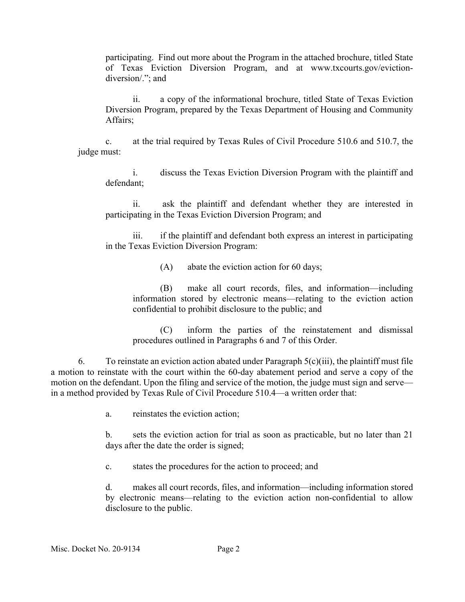participating. Find out more about the Program in the attached brochure, titled State of Texas Eviction Diversion Program, and at www.txcourts.gov/evictiondiversion/."; and

ii. a copy of the informational brochure, titled State of Texas Eviction Diversion Program, prepared by the Texas Department of Housing and Community Affairs;

c. at the trial required by Texas Rules of Civil Procedure 510.6 and 510.7, the judge must:

i. discuss the Texas Eviction Diversion Program with the plaintiff and defendant;

ii. ask the plaintiff and defendant whether they are interested in participating in the Texas Eviction Diversion Program; and

iii. if the plaintiff and defendant both express an interest in participating in the Texas Eviction Diversion Program:

(A) abate the eviction action for 60 days;

(B) make all court records, files, and information—including information stored by electronic means—relating to the eviction action confidential to prohibit disclosure to the public; and

(C) inform the parties of the reinstatement and dismissal procedures outlined in Paragraphs 6 and 7 of this Order.

6. To reinstate an eviction action abated under Paragraph  $5(c)(iii)$ , the plaintiff must file a motion to reinstate with the court within the 60-day abatement period and serve a copy of the motion on the defendant. Upon the filing and service of the motion, the judge must sign and serve in a method provided by Texas Rule of Civil Procedure 510.4—a written order that:

a. reinstates the eviction action;

b. sets the eviction action for trial as soon as practicable, but no later than 21 days after the date the order is signed;

c. states the procedures for the action to proceed; and

d. makes all court records, files, and information—including information stored by electronic means—relating to the eviction action non-confidential to allow disclosure to the public.